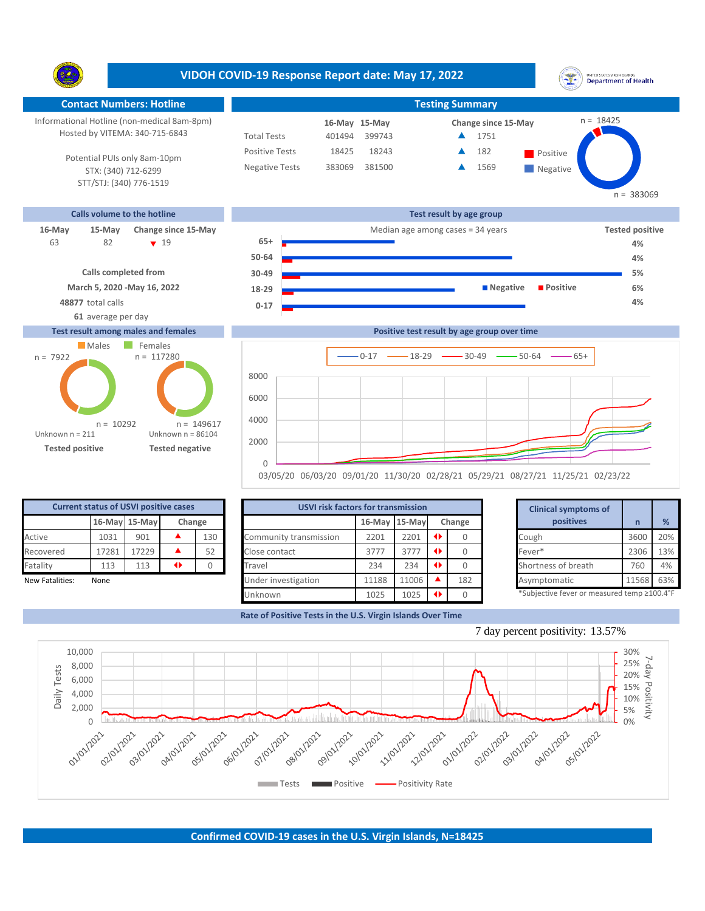**VIDOH COVID-19 Response Report date: May 17, 2022** UNITED STATES VIRGIN ISLANDS<br>Department of Health Y. **Contact Numbers: Hotline Testing Summary** n = 18425 Informational Hotline (non-medical 8am-8pm) **15-May 16-May Change since 15-May** Hosted by VITEMA: 340-715-6843 Total Tests 401494 399743 ▲ 1751 Positive Tests 18425 18243 **A** 182 **Positive**  $\blacktriangle$ 182 Potential PUIs only 8am-10pm Negative Tests 383069 381500 **4** 1569  $\blacktriangle$ STX: (340) 712-6299 **Negative** STT/STJ: (340) 776-1519 n = 383069 **Calls volume to the hotline Test result by age group 16-May 15-May Change since 15-May Change since 15-May Change and Change among cases = 34 years Tested positive** 82 19 **65+** 63 **4% 50-64 4% Calls completed from 30-49 5% March 5, 2020 -May 16, 2022 18-29 Negative Positive 6% 48877** total calls **4% 0-17 61** average per day **Test result among males and females Positive test result by age group over time** Males Females  $n = 117280$ n = 7922  $0-17$   $\longrightarrow$  18-29  $\longrightarrow$  30-49  $\longrightarrow$  50-64  $\longrightarrow$  65+ 8000 6000

| <b>Current status of USVI positive cases</b> |                         |       |  |     |  |  |  |  |  |  |  |
|----------------------------------------------|-------------------------|-------|--|-----|--|--|--|--|--|--|--|
|                                              | 16-May 15-May<br>Change |       |  |     |  |  |  |  |  |  |  |
| Active                                       | 1031                    | 901   |  | 130 |  |  |  |  |  |  |  |
| Recovered                                    | 17281                   | 17229 |  | 52  |  |  |  |  |  |  |  |
| Fatality<br>113<br>113                       |                         |       |  |     |  |  |  |  |  |  |  |
| New Fatalities:<br>None                      |                         |       |  |     |  |  |  |  |  |  |  |

**Tested positive Tested negative**

 $n = 10292$ 

Unknown n = 86104

n = 149617

 $\Omega$ 

2000 4000

Unknown n = 211

|                 |       | <b>Current status of USVI positive cases</b> |   |        | <b>USVI risk factors for transmission</b> |               | <b>Clinical symptoms of</b> |               |     |                                             |       |               |
|-----------------|-------|----------------------------------------------|---|--------|-------------------------------------------|---------------|-----------------------------|---------------|-----|---------------------------------------------|-------|---------------|
|                 |       | 16-May 15-May                                |   | Change |                                           | 16-May 15-May |                             | Change        |     | positives                                   | n     | $\frac{9}{6}$ |
| Active          | 1031  | 901                                          |   | 130    | Community transmission                    | 2201          | 2201                        | $\rightarrow$ |     | Cough                                       | 3600  | 20%           |
| Recovered       | 17281 | 17229                                        |   | 52     | Close contact                             | 3777          | 3777                        | $\rightarrow$ |     | Fever*                                      | 2306  | 13%           |
| Fatality        | 113   | 113                                          | ◆ |        | Travel                                    | 234           | 234                         | $\rightarrow$ |     | Shortness of breath                         | 760   | 4%            |
| New Fatalities: | None  |                                              |   |        | Under investigation                       | 11188         | 11006                       |               | 182 | Asymptomatic                                | 11568 | 63%           |
|                 |       |                                              |   |        | Unknown                                   | 1025          | 1025                        |               |     | *Subjective fever or measured temp ≥100.4°F |       |               |

03/05/20 06/03/20 09/01/20 11/30/20 02/28/21 05/29/21 08/27/21 11/25/21 02/23/22

**Rate of Positive Tests in the U.S. Virgin Islands Over Time**

|                   | for transmission |        |          |  | <b>Clinical symptoms of</b>                 |       |     |
|-------------------|------------------|--------|----------|--|---------------------------------------------|-------|-----|
|                   | 16-May 15-May    |        | Change   |  | positives                                   | n     | %   |
| 2201              | 2201             | ◆<br>0 |          |  | Cough                                       | 3600  | 20% |
| 3777              | 3777             | ◆      |          |  | Fever*                                      | 2306  | 13% |
| 234               | 234              | ◆      | $\Omega$ |  | Shortness of breath                         | 760   | 4%  |
| 11188             | 11006            |        | 182      |  | Asymptomatic                                | 11568 | 63% |
| ◆<br>1025<br>1025 |                  |        |          |  | *Subjective fever or measured temp ≥100.4°F |       |     |